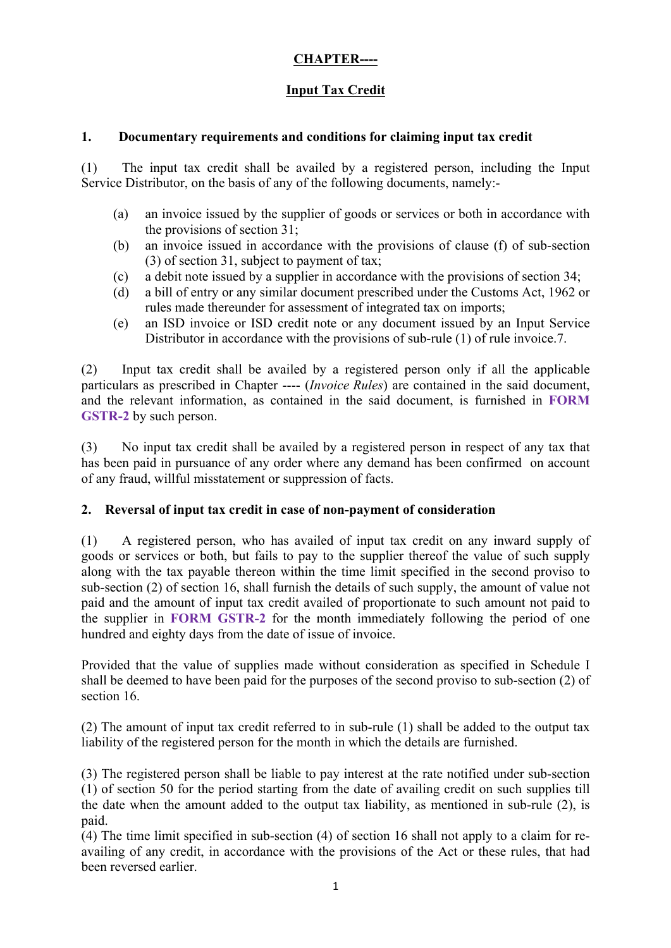## **CHAPTER----**

## **Input Tax Credit**

### **1. Documentary requirements and conditions for claiming input tax credit**

(1) The input tax credit shall be availed by a registered person, including the Input Service Distributor, on the basis of any of the following documents, namely:-

- (a) an invoice issued by the supplier of goods or services or both in accordance with the provisions of section 31;
- (b) an invoice issued in accordance with the provisions of clause (f) of sub-section (3) of section 31, subject to payment of tax;
- (c) a debit note issued by a supplier in accordance with the provisions of section 34;
- (d) a bill of entry or any similar document prescribed under the Customs Act, 1962 or rules made thereunder for assessment of integrated tax on imports;
- (e) an ISD invoice or ISD credit note or any document issued by an Input Service Distributor in accordance with the provisions of sub-rule (1) of rule invoice.7.

(2) Input tax credit shall be availed by a registered person only if all the applicable particulars as prescribed in Chapter ---- (*Invoice Rules*) are contained in the said document, and the relevant information, as contained in the said document, is furnished in **FORM GSTR-2** by such person.

(3) No input tax credit shall be availed by a registered person in respect of any tax that has been paid in pursuance of any order where any demand has been confirmed on account of any fraud, willful misstatement or suppression of facts.

### **2. Reversal of input tax credit in case of non-payment of consideration**

(1) A registered person, who has availed of input tax credit on any inward supply of goods or services or both, but fails to pay to the supplier thereof the value of such supply along with the tax payable thereon within the time limit specified in the second proviso to sub-section (2) of section 16, shall furnish the details of such supply, the amount of value not paid and the amount of input tax credit availed of proportionate to such amount not paid to the supplier in **FORM GSTR-2** for the month immediately following the period of one hundred and eighty days from the date of issue of invoice.

Provided that the value of supplies made without consideration as specified in Schedule I shall be deemed to have been paid for the purposes of the second proviso to sub-section (2) of section 16.

(2) The amount of input tax credit referred to in sub-rule (1) shall be added to the output tax liability of the registered person for the month in which the details are furnished.

(3) The registered person shall be liable to pay interest at the rate notified under sub-section (1) of section 50 for the period starting from the date of availing credit on such supplies till the date when the amount added to the output tax liability, as mentioned in sub-rule (2), is paid.

(4) The time limit specified in sub-section (4) of section 16 shall not apply to a claim for reavailing of any credit, in accordance with the provisions of the Act or these rules, that had been reversed earlier.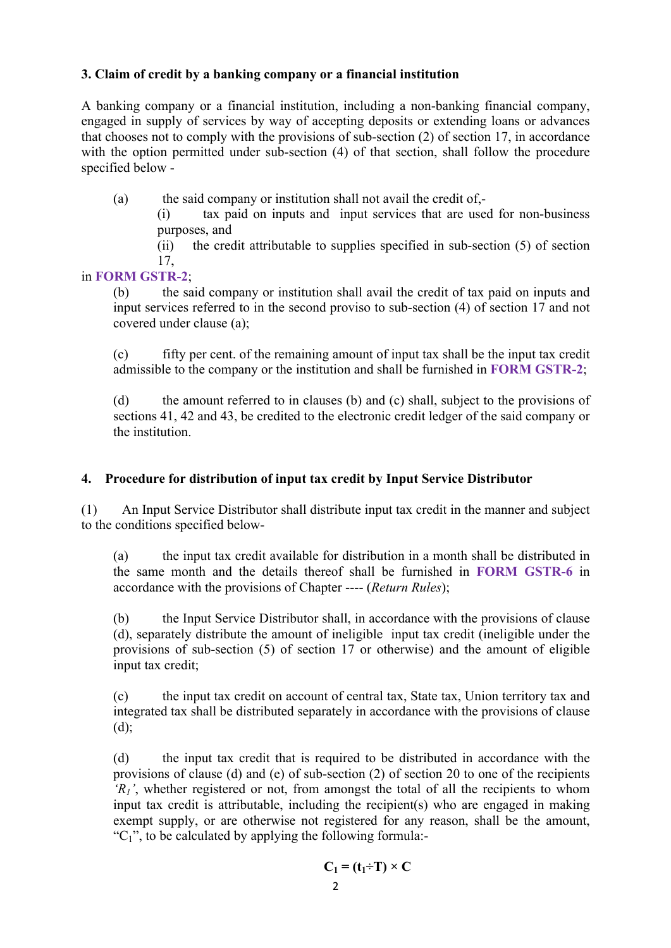#### **3. Claim of credit by a banking company or a financial institution**

A banking company or a financial institution, including a non-banking financial company, engaged in supply of services by way of accepting deposits or extending loans or advances that chooses not to comply with the provisions of sub-section (2) of section 17, in accordance with the option permitted under sub-section (4) of that section, shall follow the procedure specified below -

(a) the said company or institution shall not avail the credit of,-

(i) tax paid on inputs and input services that are used for non-business purposes, and

(ii) the credit attributable to supplies specified in sub-section (5) of section 17,

#### in **FORM GSTR-2**;

(b) the said company or institution shall avail the credit of tax paid on inputs and input services referred to in the second proviso to sub-section (4) of section 17 and not covered under clause (a);

(c) fifty per cent. of the remaining amount of input tax shall be the input tax credit admissible to the company or the institution and shall be furnished in **FORM GSTR-2**;

(d) the amount referred to in clauses (b) and (c) shall, subject to the provisions of sections 41, 42 and 43, be credited to the electronic credit ledger of the said company or the institution.

### **4. Procedure for distribution of input tax credit by Input Service Distributor**

(1) An Input Service Distributor shall distribute input tax credit in the manner and subject to the conditions specified below-

(a) the input tax credit available for distribution in a month shall be distributed in the same month and the details thereof shall be furnished in **FORM GSTR-6** in accordance with the provisions of Chapter ---- (*Return Rules*);

(b) the Input Service Distributor shall, in accordance with the provisions of clause (d), separately distribute the amount of ineligible input tax credit (ineligible under the provisions of sub-section (5) of section 17 or otherwise) and the amount of eligible input tax credit;

(c) the input tax credit on account of central tax, State tax, Union territory tax and integrated tax shall be distributed separately in accordance with the provisions of clause  $(d)$ ;

(d) the input tax credit that is required to be distributed in accordance with the provisions of clause (d) and (e) of sub-section (2) of section 20 to one of the recipients *'R<sub>1</sub>'*, whether registered or not, from amongst the total of all the recipients to whom input tax credit is attributable, including the recipient(s) who are engaged in making exempt supply, or are otherwise not registered for any reason, shall be the amount, " $C_1$ ", to be calculated by applying the following formula:-

$$
C_1 = (t_1 \div T) \times C
$$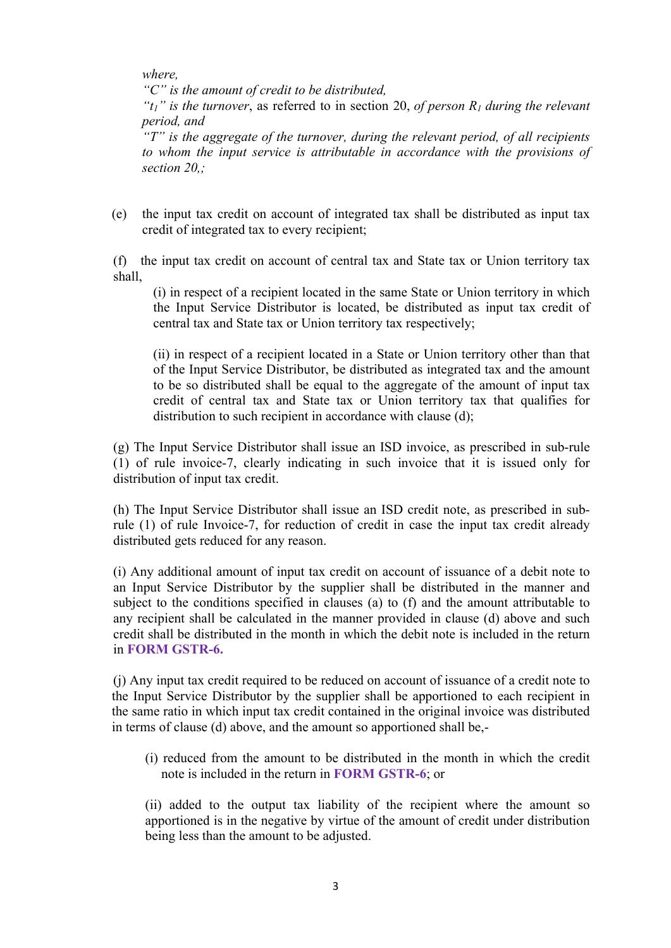*where,* 

*"C" is the amount of credit to be distributed,* 

 $f(t_1)$  *is the turnover*, as referred to in section 20, *of person R<sub>1</sub> during the relevant period, and* 

*"T" is the aggregate of the turnover, during the relevant period, of all recipients to whom the input service is attributable in accordance with the provisions of section 20,;*

(e) the input tax credit on account of integrated tax shall be distributed as input tax credit of integrated tax to every recipient;

(f) the input tax credit on account of central tax and State tax or Union territory tax shall,

(i) in respect of a recipient located in the same State or Union territory in which the Input Service Distributor is located, be distributed as input tax credit of central tax and State tax or Union territory tax respectively;

(ii) in respect of a recipient located in a State or Union territory other than that of the Input Service Distributor, be distributed as integrated tax and the amount to be so distributed shall be equal to the aggregate of the amount of input tax credit of central tax and State tax or Union territory tax that qualifies for distribution to such recipient in accordance with clause (d);

(g) The Input Service Distributor shall issue an ISD invoice, as prescribed in sub-rule (1) of rule invoice-7, clearly indicating in such invoice that it is issued only for distribution of input tax credit.

(h) The Input Service Distributor shall issue an ISD credit note, as prescribed in subrule (1) of rule Invoice-7, for reduction of credit in case the input tax credit already distributed gets reduced for any reason.

(i) Any additional amount of input tax credit on account of issuance of a debit note to an Input Service Distributor by the supplier shall be distributed in the manner and subject to the conditions specified in clauses (a) to (f) and the amount attributable to any recipient shall be calculated in the manner provided in clause (d) above and such credit shall be distributed in the month in which the debit note is included in the return in **FORM GSTR-6.**

(j) Any input tax credit required to be reduced on account of issuance of a credit note to the Input Service Distributor by the supplier shall be apportioned to each recipient in the same ratio in which input tax credit contained in the original invoice was distributed in terms of clause (d) above, and the amount so apportioned shall be,-

(i) reduced from the amount to be distributed in the month in which the credit note is included in the return in **FORM GSTR-6**; or

(ii) added to the output tax liability of the recipient where the amount so apportioned is in the negative by virtue of the amount of credit under distribution being less than the amount to be adjusted.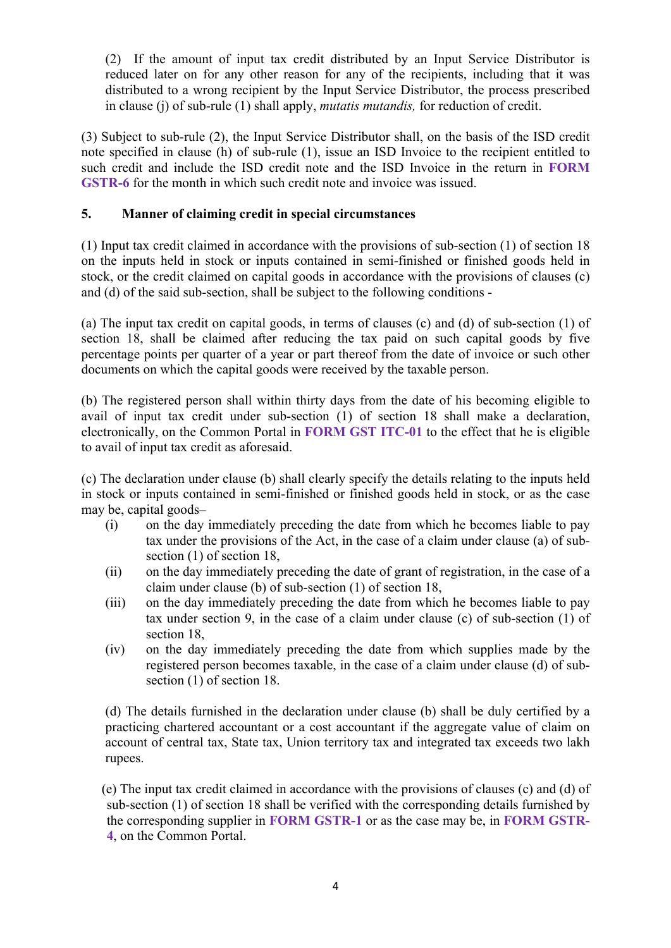(2) If the amount of input tax credit distributed by an Input Service Distributor is reduced later on for any other reason for any of the recipients, including that it was distributed to a wrong recipient by the Input Service Distributor, the process prescribed in clause (j) of sub-rule (1) shall apply, *mutatis mutandis,* for reduction of credit.

(3) Subject to sub-rule (2), the Input Service Distributor shall, on the basis of the ISD credit note specified in clause (h) of sub-rule (1), issue an ISD Invoice to the recipient entitled to such credit and include the ISD credit note and the ISD Invoice in the return in **FORM GSTR-6** for the month in which such credit note and invoice was issued.

### **5. Manner of claiming credit in special circumstances**

(1) Input tax credit claimed in accordance with the provisions of sub-section (1) of section 18 on the inputs held in stock or inputs contained in semi-finished or finished goods held in stock, or the credit claimed on capital goods in accordance with the provisions of clauses (c) and (d) of the said sub-section, shall be subject to the following conditions -

(a) The input tax credit on capital goods, in terms of clauses (c) and (d) of sub-section (1) of section 18, shall be claimed after reducing the tax paid on such capital goods by five percentage points per quarter of a year or part thereof from the date of invoice or such other documents on which the capital goods were received by the taxable person.

(b) The registered person shall within thirty days from the date of his becoming eligible to avail of input tax credit under sub-section (1) of section 18 shall make a declaration, electronically, on the Common Portal in **FORM GST ITC-01** to the effect that he is eligible to avail of input tax credit as aforesaid.

(c) The declaration under clause (b) shall clearly specify the details relating to the inputs held in stock or inputs contained in semi-finished or finished goods held in stock, or as the case may be, capital goods–

- (i) on the day immediately preceding the date from which he becomes liable to pay tax under the provisions of the Act, in the case of a claim under clause (a) of subsection (1) of section 18,
- (ii) on the day immediately preceding the date of grant of registration, in the case of a claim under clause (b) of sub-section (1) of section 18,
- (iii) on the day immediately preceding the date from which he becomes liable to pay tax under section 9, in the case of a claim under clause (c) of sub-section (1) of section 18,
- (iv) on the day immediately preceding the date from which supplies made by the registered person becomes taxable, in the case of a claim under clause (d) of subsection (1) of section 18.

(d) The details furnished in the declaration under clause (b) shall be duly certified by a practicing chartered accountant or a cost accountant if the aggregate value of claim on account of central tax, State tax, Union territory tax and integrated tax exceeds two lakh rupees.

(e) The input tax credit claimed in accordance with the provisions of clauses (c) and (d) of sub-section (1) of section 18 shall be verified with the corresponding details furnished by the corresponding supplier in **FORM GSTR-1** or as the case may be, in **FORM GSTR-4**, on the Common Portal.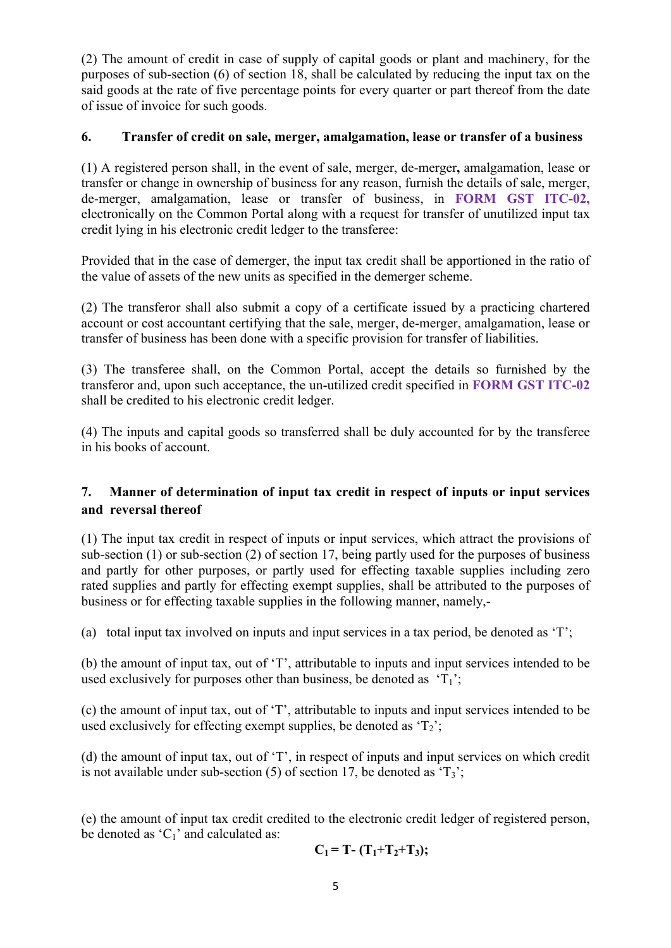(2) The amount of credit in case of supply of capital goods or plant and machinery, for the purposes of sub-section (6) of section 18, shall be calculated by reducing the input tax on the said goods at the rate of five percentage points for every quarter or part thereof from the date of issue of invoice for such goods.

### **6. Transfer of credit on sale, merger, amalgamation, lease or transfer of a business**

(1) A registered person shall, in the event of sale, merger, de-merger**,** amalgamation, lease or transfer or change in ownership of business for any reason, furnish the details of sale, merger, de-merger, amalgamation, lease or transfer of business, in **FORM GST ITC-02,** electronically on the Common Portal along with a request for transfer of unutilized input tax credit lying in his electronic credit ledger to the transferee:

Provided that in the case of demerger, the input tax credit shall be apportioned in the ratio of the value of assets of the new units as specified in the demerger scheme.

(2) The transferor shall also submit a copy of a certificate issued by a practicing chartered account or cost accountant certifying that the sale, merger, de-merger, amalgamation, lease or transfer of business has been done with a specific provision for transfer of liabilities.

(3) The transferee shall, on the Common Portal, accept the details so furnished by the transferor and, upon such acceptance, the un-utilized credit specified in **FORM GST ITC-02** shall be credited to his electronic credit ledger.

(4) The inputs and capital goods so transferred shall be duly accounted for by the transferee in his books of account.

# **7. Manner of determination of input tax credit in respect of inputs or input services and reversal thereof**

(1) The input tax credit in respect of inputs or input services, which attract the provisions of sub-section (1) or sub-section (2) of section 17, being partly used for the purposes of business and partly for other purposes, or partly used for effecting taxable supplies including zero rated supplies and partly for effecting exempt supplies, shall be attributed to the purposes of business or for effecting taxable supplies in the following manner, namely,-

(a) total input tax involved on inputs and input services in a tax period, be denoted as 'T';

(b) the amount of input tax, out of 'T', attributable to inputs and input services intended to be used exclusively for purposes other than business, be denoted as  $T_1$ ;

(c) the amount of input tax, out of 'T', attributable to inputs and input services intended to be used exclusively for effecting exempt supplies, be denoted as  $T_2$ ;

(d) the amount of input tax, out of 'T', in respect of inputs and input services on which credit is not available under sub-section (5) of section 17, be denoted as ' $T_3$ ';

(e) the amount of input tax credit credited to the electronic credit ledger of registered person, be denoted as  ${^cC_1}$  and calculated as:

$$
C_1 = T - (T_1 + T_2 + T_3);
$$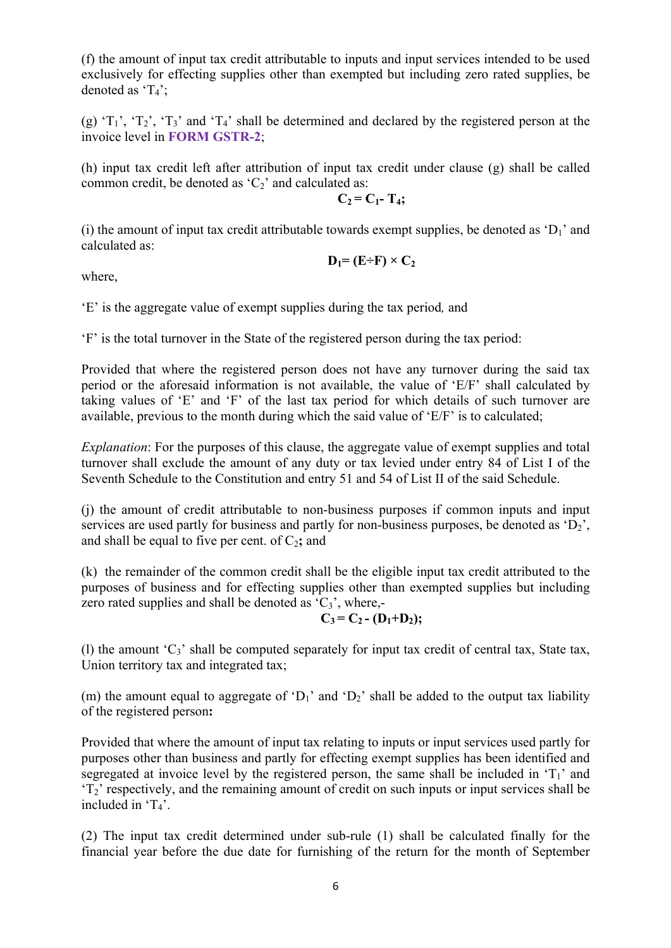(f) the amount of input tax credit attributable to inputs and input services intended to be used exclusively for effecting supplies other than exempted but including zero rated supplies, be denoted as  $T_4$ ;

(g)  $T_1$ ,  $T_2$ ,  $T_3$  and  $T_4$  shall be determined and declared by the registered person at the invoice level in **FORM GSTR-2**;

(h) input tax credit left after attribution of input tax credit under clause (g) shall be called common credit, be denoted as  $^{\circ}C_{2}$  and calculated as:

 $C_2 = C_1 - T_4;$ 

(i) the amount of input tax credit attributable towards exempt supplies, be denoted as  $D_1$  and calculated as:

$$
D_1=(E\div F)\times C_2
$$

where,

'E' is the aggregate value of exempt supplies during the tax period*,* and

'F' is the total turnover in the State of the registered person during the tax period:

Provided that where the registered person does not have any turnover during the said tax period or the aforesaid information is not available, the value of 'E/F' shall calculated by taking values of 'E' and 'F' of the last tax period for which details of such turnover are available, previous to the month during which the said value of 'E/F' is to calculated;

*Explanation*: For the purposes of this clause, the aggregate value of exempt supplies and total turnover shall exclude the amount of any duty or tax levied under entry 84 of List I of the Seventh Schedule to the Constitution and entry 51 and 54 of List II of the said Schedule.

(j) the amount of credit attributable to non-business purposes if common inputs and input services are used partly for business and partly for non-business purposes, be denoted as  $D_2$ , and shall be equal to five per cent. of  $C_2$ ; and

(k) the remainder of the common credit shall be the eligible input tax credit attributed to the purposes of business and for effecting supplies other than exempted supplies but including zero rated supplies and shall be denoted as  $^{\circ}C_3$ <sup>'</sup>, where,-

$$
C_3 = C_2 - (D_1 + D_2);
$$

(l) the amount  ${}^{c}C_{3}$ ' shall be computed separately for input tax credit of central tax, State tax, Union territory tax and integrated tax;

(m) the amount equal to aggregate of ' $D_1$ ' and ' $D_2$ ' shall be added to the output tax liability of the registered person**:**

Provided that where the amount of input tax relating to inputs or input services used partly for purposes other than business and partly for effecting exempt supplies has been identified and segregated at invoice level by the registered person, the same shall be included in  $T_1$ ' and 'T2' respectively, and the remaining amount of credit on such inputs or input services shall be included in  $T_4$ .

(2) The input tax credit determined under sub-rule (1) shall be calculated finally for the financial year before the due date for furnishing of the return for the month of September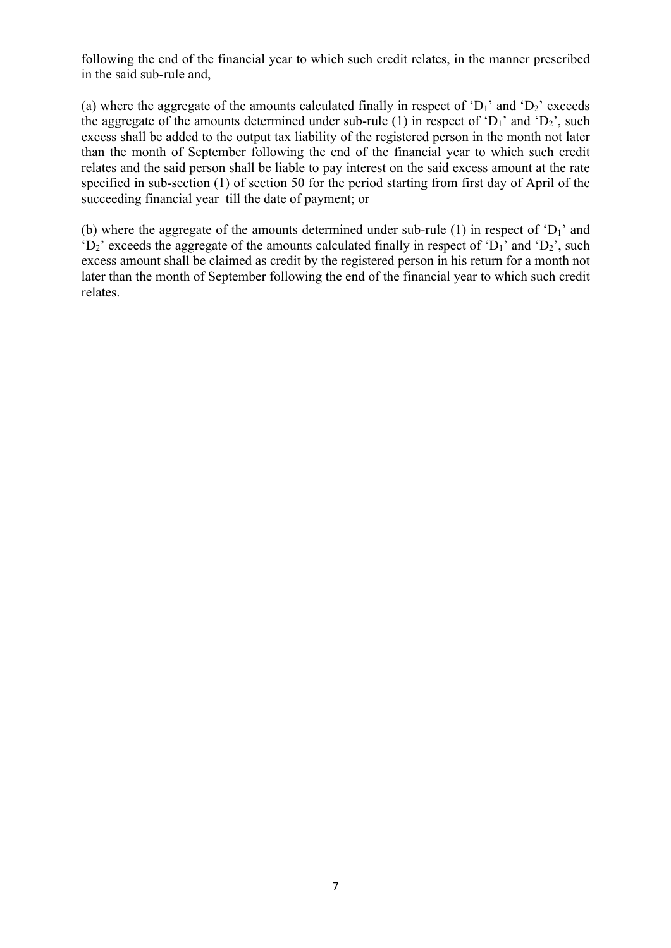following the end of the financial year to which such credit relates, in the manner prescribed in the said sub-rule and,

(a) where the aggregate of the amounts calculated finally in respect of ' $D_1$ ' and ' $D_2$ ' exceeds the aggregate of the amounts determined under sub-rule (1) in respect of ' $D_1$ ' and ' $D_2$ ', such excess shall be added to the output tax liability of the registered person in the month not later than the month of September following the end of the financial year to which such credit relates and the said person shall be liable to pay interest on the said excess amount at the rate specified in sub-section (1) of section 50 for the period starting from first day of April of the succeeding financial year till the date of payment; or

(b) where the aggregate of the amounts determined under sub-rule (1) in respect of  $D_1$  and  $D_2$ ' exceeds the aggregate of the amounts calculated finally in respect of 'D<sub>1</sub>' and 'D<sub>2</sub>', such excess amount shall be claimed as credit by the registered person in his return for a month not later than the month of September following the end of the financial year to which such credit relates.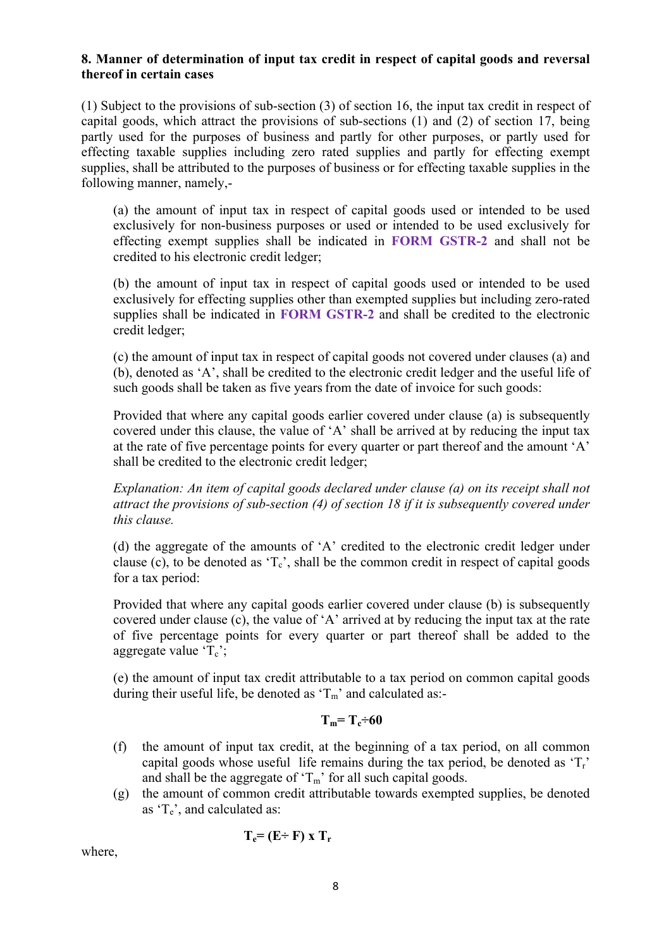#### **8. Manner of determination of input tax credit in respect of capital goods and reversal thereof in certain cases**

(1) Subject to the provisions of sub-section (3) of section 16, the input tax credit in respect of capital goods, which attract the provisions of sub-sections (1) and (2) of section 17, being partly used for the purposes of business and partly for other purposes, or partly used for effecting taxable supplies including zero rated supplies and partly for effecting exempt supplies, shall be attributed to the purposes of business or for effecting taxable supplies in the following manner, namely,-

(a) the amount of input tax in respect of capital goods used or intended to be used exclusively for non-business purposes or used or intended to be used exclusively for effecting exempt supplies shall be indicated in **FORM GSTR-2** and shall not be credited to his electronic credit ledger;

(b) the amount of input tax in respect of capital goods used or intended to be used exclusively for effecting supplies other than exempted supplies but including zero-rated supplies shall be indicated in **FORM GSTR-2** and shall be credited to the electronic credit ledger;

(c) the amount of input tax in respect of capital goods not covered under clauses (a) and (b), denoted as 'A', shall be credited to the electronic credit ledger and the useful life of such goods shall be taken as five years from the date of invoice for such goods:

Provided that where any capital goods earlier covered under clause (a) is subsequently covered under this clause, the value of 'A' shall be arrived at by reducing the input tax at the rate of five percentage points for every quarter or part thereof and the amount 'A' shall be credited to the electronic credit ledger;

*Explanation: An item of capital goods declared under clause (a) on its receipt shall not attract the provisions of sub-section (4) of section 18 if it is subsequently covered under this clause.* 

(d) the aggregate of the amounts of 'A' credited to the electronic credit ledger under clause (c), to be denoted as  $T_c$ , shall be the common credit in respect of capital goods for a tax period:

Provided that where any capital goods earlier covered under clause (b) is subsequently covered under clause (c), the value of 'A' arrived at by reducing the input tax at the rate of five percentage points for every quarter or part thereof shall be added to the aggregate value  $T_c$ ;

(e) the amount of input tax credit attributable to a tax period on common capital goods during their useful life, be denoted as ' $T_m$ ' and calculated as:-

$$
T_m = T_c \div 60
$$

- (f) the amount of input tax credit, at the beginning of a tax period, on all common capital goods whose useful life remains during the tax period, be denoted as  $T_r$ . and shall be the aggregate of ' $T_m$ ' for all such capital goods.
- (g) the amount of common credit attributable towards exempted supplies, be denoted as  $T_e$ , and calculated as:

 $T_e = (E \div F) \times T_r$ 

where,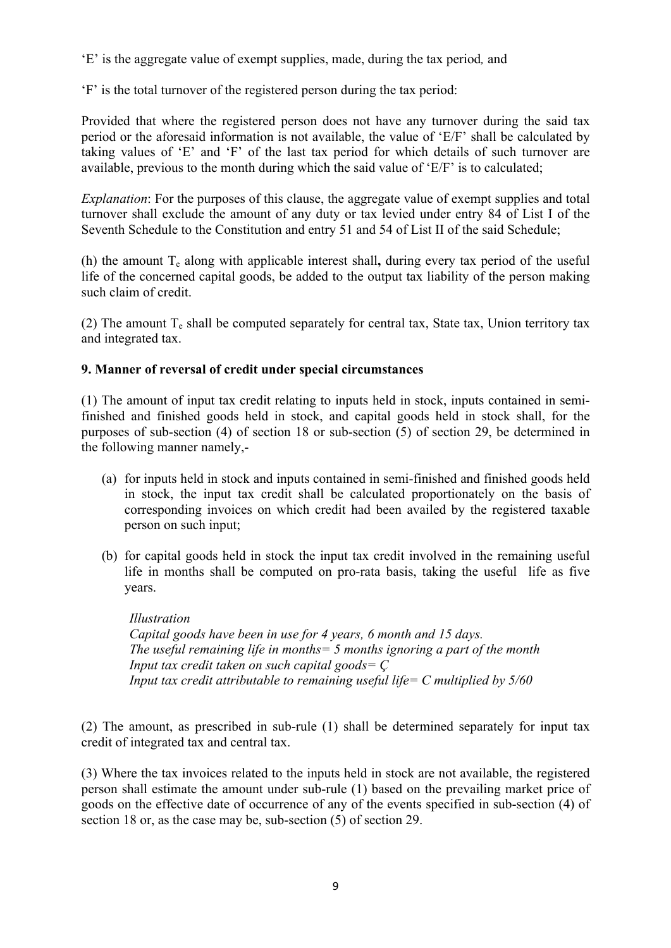'E' is the aggregate value of exempt supplies, made, during the tax period*,* and

'F' is the total turnover of the registered person during the tax period:

Provided that where the registered person does not have any turnover during the said tax period or the aforesaid information is not available, the value of 'E/F' shall be calculated by taking values of 'E' and 'F' of the last tax period for which details of such turnover are available, previous to the month during which the said value of 'E/F' is to calculated;

*Explanation*: For the purposes of this clause, the aggregate value of exempt supplies and total turnover shall exclude the amount of any duty or tax levied under entry 84 of List I of the Seventh Schedule to the Constitution and entry 51 and 54 of List II of the said Schedule;

(h) the amount Te along with applicable interest shall**,** during every tax period of the useful life of the concerned capital goods, be added to the output tax liability of the person making such claim of credit.

(2) The amount  $T_e$  shall be computed separately for central tax, State tax, Union territory tax and integrated tax.

### **9. Manner of reversal of credit under special circumstances**

(1) The amount of input tax credit relating to inputs held in stock, inputs contained in semifinished and finished goods held in stock, and capital goods held in stock shall, for the purposes of sub-section (4) of section 18 or sub-section (5) of section 29, be determined in the following manner namely,-

- (a) for inputs held in stock and inputs contained in semi-finished and finished goods held in stock, the input tax credit shall be calculated proportionately on the basis of corresponding invoices on which credit had been availed by the registered taxable person on such input;
- (b) for capital goods held in stock the input tax credit involved in the remaining useful life in months shall be computed on pro-rata basis, taking the useful life as five years.

*Illustration Capital goods have been in use for 4 years, 6 month and 15 days. The useful remaining life in months= 5 months ignoring a part of the month Input tax credit taken on such capital goods= Ç Input tax credit attributable to remaining useful life= C multiplied by 5/60*

(2) The amount, as prescribed in sub-rule (1) shall be determined separately for input tax credit of integrated tax and central tax.

(3) Where the tax invoices related to the inputs held in stock are not available, the registered person shall estimate the amount under sub-rule (1) based on the prevailing market price of goods on the effective date of occurrence of any of the events specified in sub-section (4) of section 18 or, as the case may be, sub-section (5) of section 29.